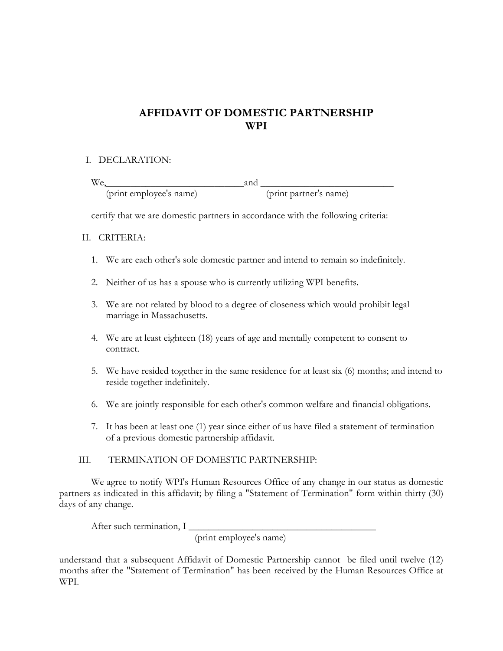# **AFFIDAVIT OF DOMESTIC PARTNERSHIP WPI**

## I. DECLARATION:

 $\text{We,}$  and  $\text{and}$ (print employee's name) (print partner's name)

certify that we are domestic partners in accordance with the following criteria:

#### II. CRITERIA:

- 1. We are each other's sole domestic partner and intend to remain so indefinitely.
- 2. Neither of us has a spouse who is currently utilizing WPI benefits.
- 3. We are not related by blood to a degree of closeness which would prohibit legal marriage in Massachusetts.
- 4. We are at least eighteen (18) years of age and mentally competent to consent to contract.
- 5. We have resided together in the same residence for at least six (6) months; and intend to reside together indefinitely.
- 6. We are jointly responsible for each other's common welfare and financial obligations.
- 7. It has been at least one (1) year since either of us have filed a statement of termination of a previous domestic partnership affidavit.

#### III. TERMINATION OF DOMESTIC PARTNERSHIP:

 We agree to notify WPI's Human Resources Office of any change in our status as domestic partners as indicated in this affidavit; by filing a "Statement of Termination" form within thirty (30) days of any change.

After such termination, I

(print employee's name)

understand that a subsequent Affidavit of Domestic Partnership cannot be filed until twelve (12) months after the "Statement of Termination" has been received by the Human Resources Office at WPI.